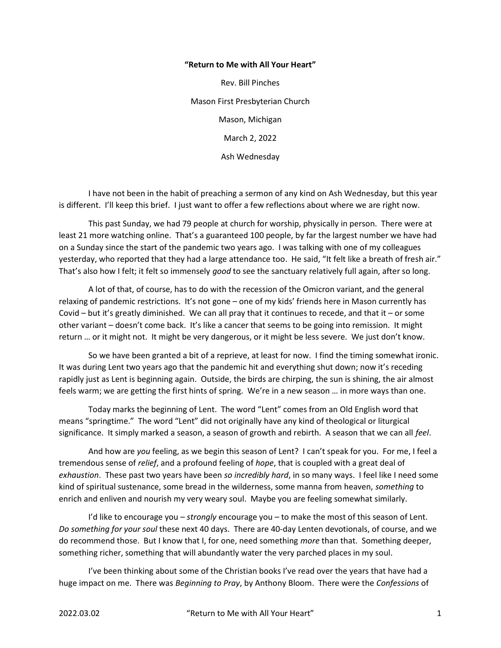## "Return to Me with All Your Heart"

Rev. Bill Pinches Mason First Presbyterian Church Mason, Michigan March 2, 2022 Ash Wednesday

 I have not been in the habit of preaching a sermon of any kind on Ash Wednesday, but this year is different. I'll keep this brief. I just want to offer a few reflections about where we are right now.

 This past Sunday, we had 79 people at church for worship, physically in person. There were at least 21 more watching online. That's a guaranteed 100 people, by far the largest number we have had on a Sunday since the start of the pandemic two years ago. I was talking with one of my colleagues yesterday, who reported that they had a large attendance too. He said, "It felt like a breath of fresh air." That's also how I felt; it felt so immensely good to see the sanctuary relatively full again, after so long.

 A lot of that, of course, has to do with the recession of the Omicron variant, and the general relaxing of pandemic restrictions. It's not gone – one of my kids' friends here in Mason currently has Covid – but it's greatly diminished. We can all pray that it continues to recede, and that it – or some other variant – doesn't come back. It's like a cancer that seems to be going into remission. It might return … or it might not. It might be very dangerous, or it might be less severe. We just don't know.

So we have been granted a bit of a reprieve, at least for now. I find the timing somewhat ironic. It was during Lent two years ago that the pandemic hit and everything shut down; now it's receding rapidly just as Lent is beginning again. Outside, the birds are chirping, the sun is shining, the air almost feels warm; we are getting the first hints of spring. We're in a new season … in more ways than one.

Today marks the beginning of Lent. The word "Lent" comes from an Old English word that means "springtime." The word "Lent" did not originally have any kind of theological or liturgical significance. It simply marked a season, a season of growth and rebirth. A season that we can all feel.

And how are you feeling, as we begin this season of Lent? I can't speak for you. For me, I feel a tremendous sense of relief, and a profound feeling of hope, that is coupled with a great deal of exhaustion. These past two years have been so incredibly hard, in so many ways. I feel like I need some kind of spiritual sustenance, some bread in the wilderness, some manna from heaven, something to enrich and enliven and nourish my very weary soul. Maybe you are feeling somewhat similarly.

I'd like to encourage you  $-$  strongly encourage you  $-$  to make the most of this season of Lent. Do something for your soul these next 40 days. There are 40-day Lenten devotionals, of course, and we do recommend those. But I know that I, for one, need something more than that. Something deeper, something richer, something that will abundantly water the very parched places in my soul.

I've been thinking about some of the Christian books I've read over the years that have had a huge impact on me. There was Beginning to Pray, by Anthony Bloom. There were the Confessions of